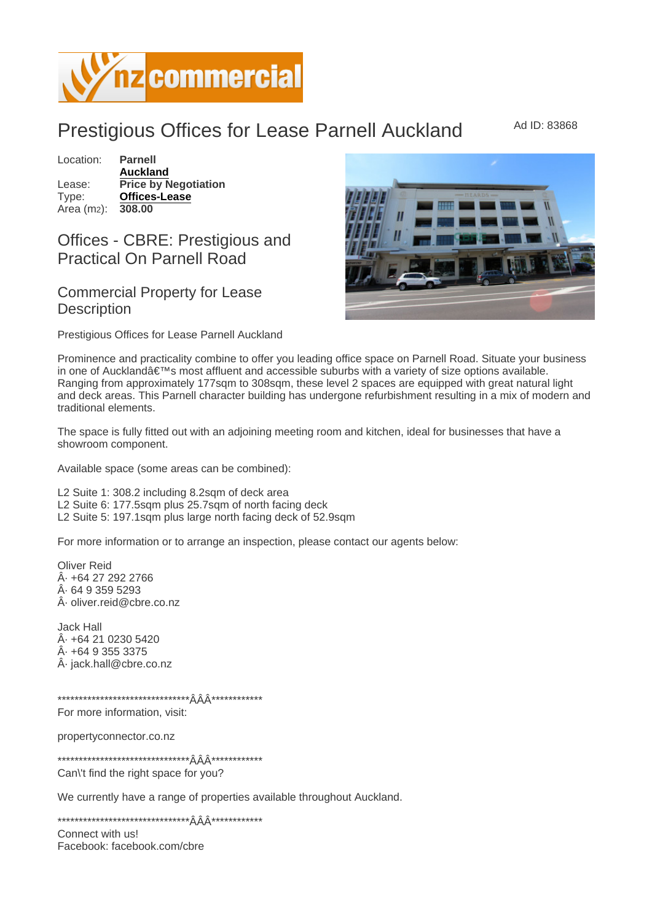## **Prestigious Offices for Lease Parnell Auckland**

Location: Parnell Auckland Lease: Price by Negotiation Type: Offices-Lease Area (m<sub>2</sub>): 308.00

## Offices - CBRE: Prestigious and **Practical On Parnell Road**

## **Commercial Property for Lease Description**

Prestigious Offices for Lease Parnell Auckland

Prominence and practicality combine to offer you leading office space on Parnell Road. Situate your business in one of Auckland's most affluent and accessible suburbs with a variety of size options available. Ranging from approximately 177sqm to 308sqm, these level 2 spaces are equipped with great natural light and deck areas. This Parnell character building has undergone refurbishment resulting in a mix of modern and traditional elements.

The space is fully fitted out with an adjoining meeting room and kitchen, ideal for businesses that have a showroom component.

Available space (some areas can be combined):

L2 Suite 1: 308.2 including 8.2sqm of deck area L2 Suite 6: 177.5sqm plus 25.7sqm of north facing deck L2 Suite 5: 197.1sqm plus large north facing deck of 52.9sqm

For more information or to arrange an inspection, please contact our agents below:

**Oliver Reid**  · +64 27 292 2766 64 9 359 5293  $\hat{A}$  oliver reid@cbre.co.nz

Jack Hall · +64 21 0230 5420 · +64 9 355 3375 Â. jack.hall@cbre.co.nz

For more information, visit:

propertyconnector.co.nz

Can't find the right space for you?

We currently have a range of properties available throughout Auckland.

Connect with usl Facebook: facebook.com/cbre